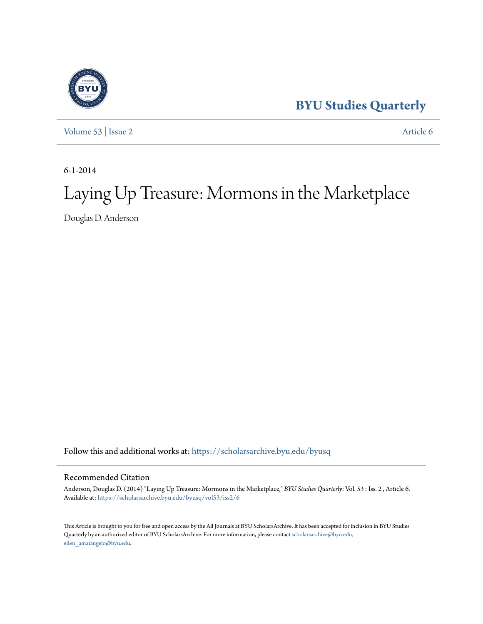# **[BYU Studies Quarterly](https://scholarsarchive.byu.edu/byusq?utm_source=scholarsarchive.byu.edu%2Fbyusq%2Fvol53%2Fiss2%2F6&utm_medium=PDF&utm_campaign=PDFCoverPages)**

[Volume 53](https://scholarsarchive.byu.edu/byusq/vol53?utm_source=scholarsarchive.byu.edu%2Fbyusq%2Fvol53%2Fiss2%2F6&utm_medium=PDF&utm_campaign=PDFCoverPages) | [Issue 2](https://scholarsarchive.byu.edu/byusq/vol53/iss2?utm_source=scholarsarchive.byu.edu%2Fbyusq%2Fvol53%2Fiss2%2F6&utm_medium=PDF&utm_campaign=PDFCoverPages) [Article 6](https://scholarsarchive.byu.edu/byusq/vol53/iss2/6?utm_source=scholarsarchive.byu.edu%2Fbyusq%2Fvol53%2Fiss2%2F6&utm_medium=PDF&utm_campaign=PDFCoverPages)

6-1-2014

# Laying Up Treasure: Mormons in the Marketplace

Douglas D. Anderson

Follow this and additional works at: [https://scholarsarchive.byu.edu/byusq](https://scholarsarchive.byu.edu/byusq?utm_source=scholarsarchive.byu.edu%2Fbyusq%2Fvol53%2Fiss2%2F6&utm_medium=PDF&utm_campaign=PDFCoverPages)

### Recommended Citation

Anderson, Douglas D. (2014) "Laying Up Treasure: Mormons in the Marketplace," *BYU Studies Quarterly*: Vol. 53 : Iss. 2 , Article 6. Available at: [https://scholarsarchive.byu.edu/byusq/vol53/iss2/6](https://scholarsarchive.byu.edu/byusq/vol53/iss2/6?utm_source=scholarsarchive.byu.edu%2Fbyusq%2Fvol53%2Fiss2%2F6&utm_medium=PDF&utm_campaign=PDFCoverPages)

This Article is brought to you for free and open access by the All Journals at BYU ScholarsArchive. It has been accepted for inclusion in BYU Studies Quarterly by an authorized editor of BYU ScholarsArchive. For more information, please contact [scholarsarchive@byu.edu,](mailto:scholarsarchive@byu.edu,%20ellen_amatangelo@byu.edu) [ellen\\_amatangelo@byu.edu.](mailto:scholarsarchive@byu.edu,%20ellen_amatangelo@byu.edu)

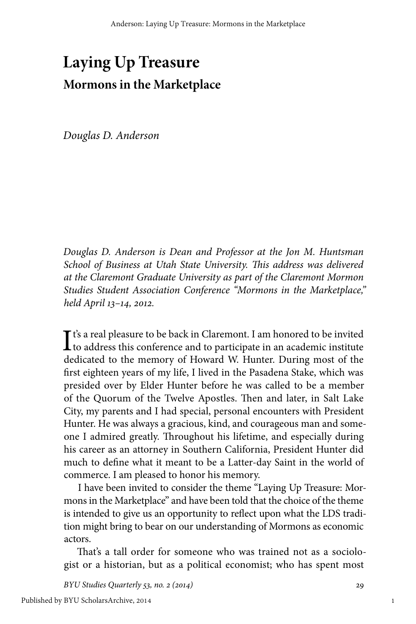# **Laying Up Treasure Mormons in the Marketplace**

*Douglas D. Anderson*

*Douglas D. Anderson is Dean and Professor at the Jon M. Huntsman School of Business at Utah State University. This address was delivered at the Claremont Graduate University as part of the Claremont Mormon Studies Student Association Conference "Mormons in the Marketplace," held April 13–14, 2012.*

It's a real pleasure to be back in Claremont. I am honored to be invited<br>to address this conference and to participate in an academic institute<br>that the conference of  $\mathcal{L}$ to address this conference and to participate in an academic institute dedicated to the memory of Howard W. Hunter. During most of the first eighteen years of my life, I lived in the Pasadena Stake, which was presided over by Elder Hunter before he was called to be a member of the Quorum of the Twelve Apostles. Then and later, in Salt Lake City, my parents and I had special, personal encounters with President Hunter. He was always a gracious, kind, and courageous man and someone I admired greatly. Throughout his lifetime, and especially during his career as an attorney in Southern California, President Hunter did much to define what it meant to be a Latter-day Saint in the world of commerce. I am pleased to honor his memory.

I have been invited to consider the theme "Laying Up Treasure: Mormons in the Marketplace" and have been told that the choice of the theme is intended to give us an opportunity to reflect upon what the LDS tradition might bring to bear on our understanding of Mormons as economic actors.

That's a tall order for someone who was trained not as a sociologist or a historian, but as a political economist; who has spent most

*BYU Studies Quarterly 53, no. 2 (2014)* 29

1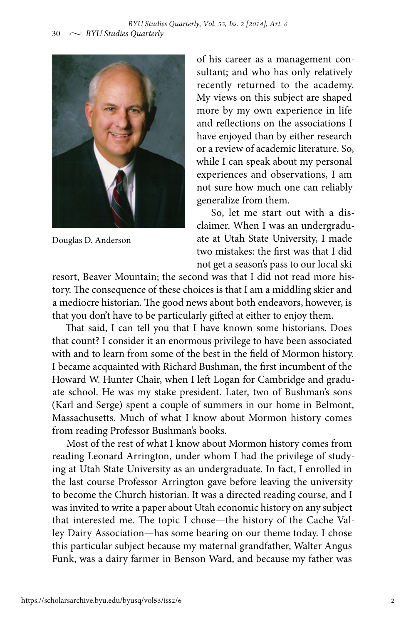

Douglas D. Anderson

of his career as a management consultant; and who has only relatively recently returned to the academy. My views on this subject are shaped more by my own experience in life and reflections on the associations I have enjoyed than by either research or a review of academic literature. So, while I can speak about my personal experiences and observations, I am not sure how much one can reliably generalize from them.

So, let me start out with a disclaimer. When I was an undergraduate at Utah State University, I made two mistakes: the first was that I did not get a season's pass to our local ski

resort, Beaver Mountain; the second was that I did not read more history. The consequence of these choices is that I am a middling skier and a mediocre historian. The good news about both endeavors, however, is that you don't have to be particularly gifted at either to enjoy them.

That said, I can tell you that I have known some historians. Does that count? I consider it an enormous privilege to have been associated with and to learn from some of the best in the field of Mormon history. I became acquainted with Richard Bushman, the first incumbent of the Howard W. Hunter Chair, when I left Logan for Cambridge and graduate school. He was my stake president. Later, two of Bushman's sons (Karl and Serge) spent a couple of summers in our home in Belmont, Massachusetts. Much of what I know about Mormon history comes from reading Professor Bushman's books.

Most of the rest of what I know about Mormon history comes from reading Leonard Arrington, under whom I had the privilege of studying at Utah State University as an undergraduate. In fact, I enrolled in the last course Professor Arrington gave before leaving the university to become the Church historian. It was a directed reading course, and I was invited to write a paper about Utah economic history on any subject that interested me. The topic I chose—the history of the Cache Valley Dairy Association—has some bearing on our theme today. I chose this particular subject because my maternal grandfather, Walter Angus Funk, was a dairy farmer in Benson Ward, and because my father was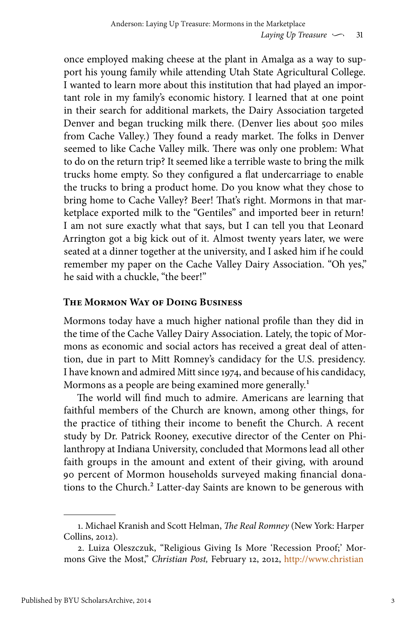once employed making cheese at the plant in Amalga as a way to support his young family while attending Utah State Agricultural College. I wanted to learn more about this institution that had played an important role in my family's economic history. I learned that at one point in their search for additional markets, the Dairy Association targeted Denver and began trucking milk there. (Denver lies about 500 miles from Cache Valley.) They found a ready market. The folks in Denver seemed to like Cache Valley milk. There was only one problem: What to do on the return trip? It seemed like a terrible waste to bring the milk trucks home empty. So they configured a flat undercarriage to enable the trucks to bring a product home. Do you know what they chose to bring home to Cache Valley? Beer! That's right. Mormons in that marketplace exported milk to the "Gentiles" and imported beer in return! I am not sure exactly what that says, but I can tell you that Leonard Arrington got a big kick out of it. Almost twenty years later, we were seated at a dinner together at the university, and I asked him if he could remember my paper on the Cache Valley Dairy Association. "Oh yes," he said with a chuckle, "the beer!"

#### **The Mormon Way of Doing Business**

Mormons today have a much higher national profile than they did in the time of the Cache Valley Dairy Association. Lately, the topic of Mormons as economic and social actors has received a great deal of attention, due in part to Mitt Romney's candidacy for the U.S. presidency. I have known and admired Mitt since 1974, and because of his candidacy, Mormons as a people are being examined more generally.<sup>1</sup>

The world will find much to admire. Americans are learning that faithful members of the Church are known, among other things, for the practice of tithing their income to benefit the Church. A recent study by Dr. Patrick Rooney, executive director of the Center on Philanthropy at Indiana University, concluded that Mormons lead all other faith groups in the amount and extent of their giving, with around 90 percent of Mormon households surveyed making financial donations to the Church.<sup>2</sup> Latter-day Saints are known to be generous with

<sup>1.</sup> Michael Kranish and Scott Helman, *The Real Romney* (New York: Harper Collins, 2012).

<sup>2.</sup> Luiza Oleszczuk, "Religious Giving Is More 'Recession Proof;' Mormons Give the Most," *Christian Post,* February 12, 2012, [http://www.christian](http://www.christianpost.com/news/religious-giving-is-more-recession-proof-mormons-give-the-most-70235/)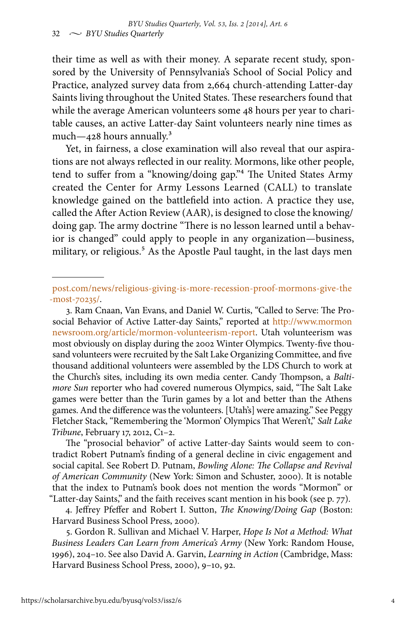their time as well as with their money. A separate recent study, sponsored by the University of Pennsylvania's School of Social Policy and Practice, analyzed survey data from 2,664 church-attending Latter-day Saints living throughout the United States. These researchers found that while the average American volunteers some 48 hours per year to charitable causes, an active Latter-day Saint volunteers nearly nine times as much—428 hours annually.3

Yet, in fairness, a close examination will also reveal that our aspirations are not always reflected in our reality. Mormons, like other people, tend to suffer from a "knowing/doing gap."4 The United States Army created the Center for Army Lessons Learned (CALL) to translate knowledge gained on the battlefield into action. A practice they use, called the After Action Review (AAR), is designed to close the knowing/ doing gap. The army doctrine "There is no lesson learned until a behavior is changed" could apply to people in any organization—business, military, or religious.<sup>5</sup> As the Apostle Paul taught, in the last days men

The "prosocial behavior" of active Latter-day Saints would seem to contradict Robert Putnam's finding of a general decline in civic engagement and social capital. See Robert D. Putnam, *Bowling Alone: The Collapse and Revival of American Community* (New York: Simon and Schuster, 2000). It is notable that the index to Putnam's book does not mention the words "Mormon" or "Latter-day Saints," and the faith receives scant mention in his book (see p. 77).

4. Jeffrey Pfeffer and Robert I. Sutton, *The Knowing/Doing Gap* (Boston: Harvard Business School Press, 2000).

5. Gordon R. Sullivan and Michael V. Harper, *Hope Is Not a Method: What Business Leaders Can Learn from America's Army* (New York: Random House, 1996), 204–10. See also David A. Garvin, *Learning in Action* (Cambridge, Mass: Harvard Business School Press, 2000), 9–10, 92.

[post.com/news/religious-giving-is-more-recession-proof-mormons-give-the](http://www.christianpost.com/news/religious-giving-is-more-recession-proof-mormons-give-the-most-70235/) [-most-70235/.](http://www.christianpost.com/news/religious-giving-is-more-recession-proof-mormons-give-the-most-70235/)

<sup>3.</sup> Ram Cnaan, Van Evans, and Daniel W. Curtis, "Called to Serve: The Prosocial Behavior of Active Latter-day Saints," reported at [http://www.mormon](http://www.mormonnewsroom.org/article/mormon-volunteerism-report) [newsroom.org/article/mormon-volunteerism-report](http://www.mormonnewsroom.org/article/mormon-volunteerism-report). Utah volunteerism was most obviously on display during the 2002 Winter Olympics. Twenty-five thousand volunteers were recruited by the Salt Lake Organizing Committee, and five thousand additional volunteers were assembled by the LDS Church to work at the Church's sites, including its own media center. Candy Thompson, a *Baltimore Sun* reporter who had covered numerous Olympics, said, "The Salt Lake games were better than the Turin games by a lot and better than the Athens games. And the difference was the volunteers. [Utah's] were amazing." See Peggy Fletcher Stack, "Remembering the 'Mormon' Olympics That Weren't," *Salt Lake Tribune*, February 17, 2012, C1–2.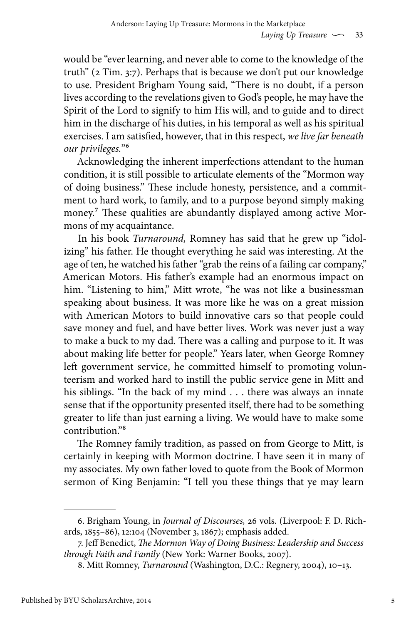would be "ever learning, and never able to come to the knowledge of the truth" (2 Tim. 3:7). Perhaps that is because we don't put our knowledge to use. President Brigham Young said, "There is no doubt, if a person lives according to the revelations given to God's people, he may have the Spirit of the Lord to signify to him His will, and to guide and to direct him in the discharge of his duties, in his temporal as well as his spiritual exercises. I am satisfied, however, that in this respect, *we live far beneath our privileges.*"6

Acknowledging the inherent imperfections attendant to the human condition, it is still possible to articulate elements of the "Mormon way of doing business." These include honesty, persistence, and a commitment to hard work, to family, and to a purpose beyond simply making money.7 These qualities are abundantly displayed among active Mormons of my acquaintance.

In his book *Turnaround,* Romney has said that he grew up "idolizing" his father. He thought everything he said was interesting. At the age of ten, he watched his father "grab the reins of a failing car company," American Motors. His father's example had an enormous impact on him. "Listening to him," Mitt wrote, "he was not like a businessman speaking about business. It was more like he was on a great mission with American Motors to build innovative cars so that people could save money and fuel, and have better lives. Work was never just a way to make a buck to my dad. There was a calling and purpose to it. It was about making life better for people." Years later, when George Romney left government service, he committed himself to promoting volunteerism and worked hard to instill the public service gene in Mitt and his siblings. "In the back of my mind . . . there was always an innate sense that if the opportunity presented itself, there had to be something greater to life than just earning a living. We would have to make some contribution."8

The Romney family tradition, as passed on from George to Mitt, is certainly in keeping with Mormon doctrine. I have seen it in many of my associates. My own father loved to quote from the Book of Mormon sermon of King Benjamin: "I tell you these things that ye may learn

<sup>6.</sup> Brigham Young, in *Journal of Discourses,* 26 vols. (Liverpool: F. D. Richards, 1855–86), 12:104 (November 3, 1867); emphasis added.

<sup>7.</sup> Jeff Benedict, *The Mormon Way of Doing Business: Leadership and Success through Faith and Family* (New York: Warner Books, 2007).

<sup>8.</sup> Mitt Romney, *Turnaround* (Washington, D.C.: Regnery, 2004), 10–13.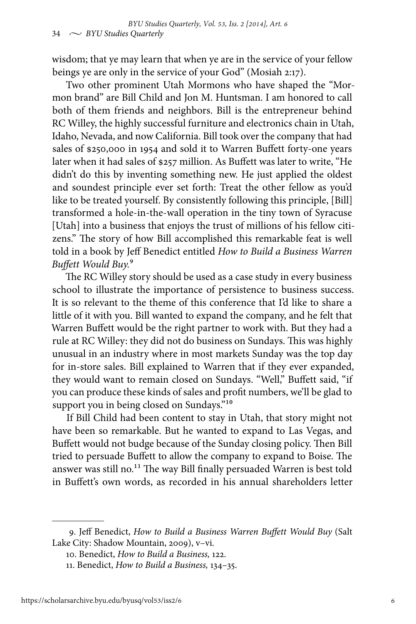wisdom; that ye may learn that when ye are in the service of your fellow beings ye are only in the service of your God" (Mosiah 2:17).

Two other prominent Utah Mormons who have shaped the "Mormon brand" are Bill Child and Jon M. Huntsman. I am honored to call both of them friends and neighbors. Bill is the entrepreneur behind RC Willey, the highly successful furniture and electronics chain in Utah, Idaho, Nevada, and now California. Bill took over the company that had sales of \$250,000 in 1954 and sold it to Warren Buffett forty-one years later when it had sales of \$257 million. As Buffett was later to write, "He didn't do this by inventing something new. He just applied the oldest and soundest principle ever set forth: Treat the other fellow as you'd like to be treated yourself. By consistently following this principle, [Bill] transformed a hole-in-the-wall operation in the tiny town of Syracuse [Utah] into a business that enjoys the trust of millions of his fellow citizens." The story of how Bill accomplished this remarkable feat is well told in a book by Jeff Benedict entitled *How to Build a Business Warren Buffett Would Buy.*9

The RC Willey story should be used as a case study in every business school to illustrate the importance of persistence to business success. It is so relevant to the theme of this conference that I'd like to share a little of it with you. Bill wanted to expand the company, and he felt that Warren Buffett would be the right partner to work with. But they had a rule at RC Willey: they did not do business on Sundays. This was highly unusual in an industry where in most markets Sunday was the top day for in-store sales. Bill explained to Warren that if they ever expanded, they would want to remain closed on Sundays. "Well," Buffett said, "if you can produce these kinds of sales and profit numbers, we'll be glad to support you in being closed on Sundays."<sup>10</sup>

If Bill Child had been content to stay in Utah, that story might not have been so remarkable. But he wanted to expand to Las Vegas, and Buffett would not budge because of the Sunday closing policy. Then Bill tried to persuade Buffett to allow the company to expand to Boise. The answer was still no.<sup>11</sup> The way Bill finally persuaded Warren is best told in Buffett's own words, as recorded in his annual shareholders letter

<sup>9.</sup> Jeff Benedict, *How to Build a Business Warren Buffett Would Buy* (Salt Lake City: Shadow Mountain, 2009), v–vi.

<sup>10.</sup> Benedict, *How to Build a Business,* 122.

<sup>11.</sup> Benedict, *How to Build a Business,* 134–35.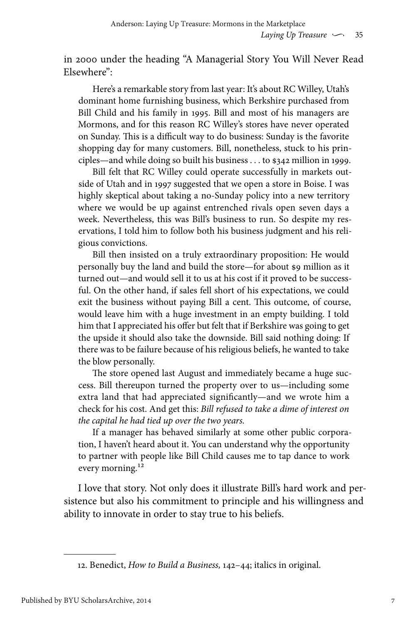in 2000 under the heading "A Managerial Story You Will Never Read Elsewhere":

Here's a remarkable story from last year: It's about RC Willey, Utah's dominant home furnishing business, which Berkshire purchased from Bill Child and his family in 1995. Bill and most of his managers are Mormons, and for this reason RC Willey's stores have never operated on Sunday. This is a difficult way to do business: Sunday is the favorite shopping day for many customers. Bill, nonetheless, stuck to his principles—and while doing so built his business . . . to \$342 million in 1999.

Bill felt that RC Willey could operate successfully in markets outside of Utah and in 1997 suggested that we open a store in Boise. I was highly skeptical about taking a no-Sunday policy into a new territory where we would be up against entrenched rivals open seven days a week. Nevertheless, this was Bill's business to run. So despite my reservations, I told him to follow both his business judgment and his religious convictions.

Bill then insisted on a truly extraordinary proposition: He would personally buy the land and build the store—for about \$9 million as it turned out—and would sell it to us at his cost if it proved to be successful. On the other hand, if sales fell short of his expectations, we could exit the business without paying Bill a cent. This outcome, of course, would leave him with a huge investment in an empty building. I told him that I appreciated his offer but felt that if Berkshire was going to get the upside it should also take the downside. Bill said nothing doing: If there was to be failure because of his religious beliefs, he wanted to take the blow personally.

The store opened last August and immediately became a huge success. Bill thereupon turned the property over to us—including some extra land that had appreciated significantly—and we wrote him a check for his cost. And get this: *Bill refused to take a dime of interest on the capital he had tied up over the two years.*

If a manager has behaved similarly at some other public corporation, I haven't heard about it. You can understand why the opportunity to partner with people like Bill Child causes me to tap dance to work every morning.<sup>12</sup>

I love that story. Not only does it illustrate Bill's hard work and persistence but also his commitment to principle and his willingness and ability to innovate in order to stay true to his beliefs.

<sup>12.</sup> Benedict, *How to Build a Business,* 142–44; italics in original.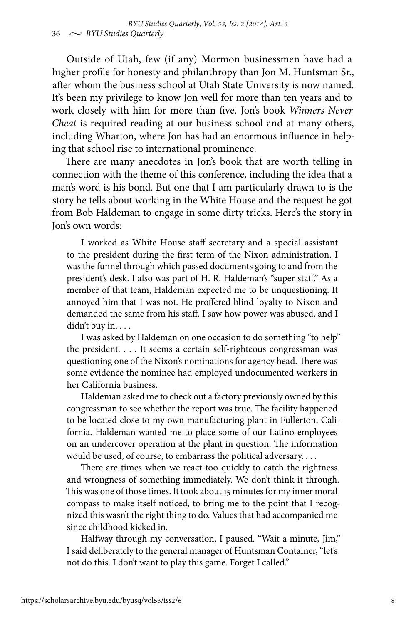Outside of Utah, few (if any) Mormon businessmen have had a higher profile for honesty and philanthropy than Jon M. Huntsman Sr., after whom the business school at Utah State University is now named. It's been my privilege to know Jon well for more than ten years and to work closely with him for more than five. Jon's book *Winners Never Cheat* is required reading at our business school and at many others, including Wharton, where Jon has had an enormous influence in helping that school rise to international prominence.

There are many anecdotes in Jon's book that are worth telling in connection with the theme of this conference, including the idea that a man's word is his bond. But one that I am particularly drawn to is the story he tells about working in the White House and the request he got from Bob Haldeman to engage in some dirty tricks. Here's the story in Jon's own words:

I worked as White House staff secretary and a special assistant to the president during the first term of the Nixon administration. I was the funnel through which passed documents going to and from the president's desk. I also was part of H. R. Haldeman's "super staff." As a member of that team, Haldeman expected me to be unquestioning. It annoyed him that I was not. He proffered blind loyalty to Nixon and demanded the same from his staff. I saw how power was abused, and I didn't buy in....

I was asked by Haldeman on one occasion to do something "to help" the president. . . . It seems a certain self-righteous congressman was questioning one of the Nixon's nominations for agency head. There was some evidence the nominee had employed undocumented workers in her California business.

Haldeman asked me to check out a factory previously owned by this congressman to see whether the report was true. The facility happened to be located close to my own manufacturing plant in Fullerton, California. Haldeman wanted me to place some of our Latino employees on an undercover operation at the plant in question. The information would be used, of course, to embarrass the political adversary. . . .

There are times when we react too quickly to catch the rightness and wrongness of something immediately. We don't think it through. This was one of those times. It took about 15 minutes for my inner moral compass to make itself noticed, to bring me to the point that I recognized this wasn't the right thing to do. Values that had accompanied me since childhood kicked in.

Halfway through my conversation, I paused. "Wait a minute, Jim," I said deliberately to the general manager of Huntsman Container, "let's not do this. I don't want to play this game. Forget I called."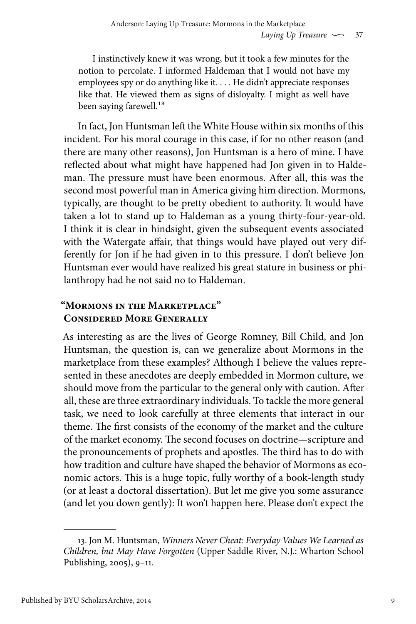I instinctively knew it was wrong, but it took a few minutes for the notion to percolate. I informed Haldeman that I would not have my employees spy or do anything like it. . . . He didn't appreciate responses like that. He viewed them as signs of disloyalty. I might as well have been saying farewell.<sup>13</sup>

In fact, Jon Huntsman left the White House within six months of this incident. For his moral courage in this case, if for no other reason (and there are many other reasons), Jon Huntsman is a hero of mine. I have reflected about what might have happened had Jon given in to Haldeman. The pressure must have been enormous. After all, this was the second most powerful man in America giving him direction. Mormons, typically, are thought to be pretty obedient to authority. It would have taken a lot to stand up to Haldeman as a young thirty-four-year-old. I think it is clear in hindsight, given the subsequent events associated with the Watergate affair, that things would have played out very differently for Jon if he had given in to this pressure. I don't believe Jon Huntsman ever would have realized his great stature in business or philanthropy had he not said no to Haldeman.

## **"Mormons in the Marketplace" Considered More Generally**

As interesting as are the lives of George Romney, Bill Child, and Jon Huntsman, the question is, can we generalize about Mormons in the marketplace from these examples? Although I believe the values represented in these anecdotes are deeply embedded in Mormon culture, we should move from the particular to the general only with caution. After all, these are three extraordinary individuals. To tackle the more general task, we need to look carefully at three elements that interact in our theme. The first consists of the economy of the market and the culture of the market economy. The second focuses on doctrine—scripture and the pronouncements of prophets and apostles. The third has to do with how tradition and culture have shaped the behavior of Mormons as economic actors. This is a huge topic, fully worthy of a book-length study (or at least a doctoral dissertation). But let me give you some assurance (and let you down gently): It won't happen here. Please don't expect the

<sup>13.</sup> Jon M. Huntsman, *Winners Never Cheat: Everyday Values We Learned as Children, but May Have Forgotten* (Upper Saddle River, N.J.: Wharton School Publishing, 2005), 9–11.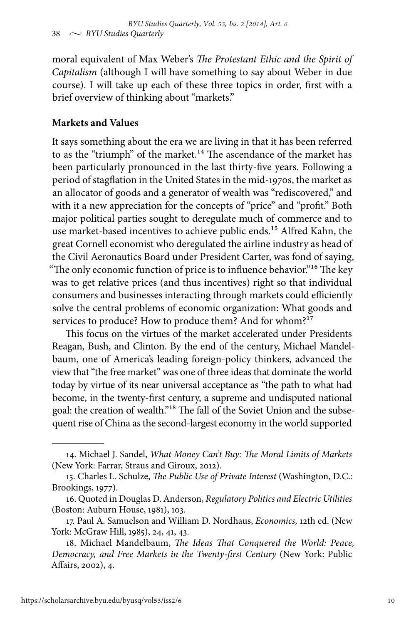moral equivalent of Max Weber's *The Protestant Ethic and the Spirit of Capitalism* (although I will have something to say about Weber in due course). I will take up each of these three topics in order, first with a brief overview of thinking about "markets."

#### **Markets and Values**

It says something about the era we are living in that it has been referred to as the "triumph" of the market.<sup>14</sup> The ascendance of the market has been particularly pronounced in the last thirty-five years. Following a period of stagflation in the United States in the mid-1970s, the market as an allocator of goods and a generator of wealth was "rediscovered," and with it a new appreciation for the concepts of "price" and "profit." Both major political parties sought to deregulate much of commerce and to use market-based incentives to achieve public ends.15 Alfred Kahn, the great Cornell economist who deregulated the airline industry as head of the Civil Aeronautics Board under President Carter, was fond of saying, "The only economic function of price is to influence behavior."<sup>16</sup> The key was to get relative prices (and thus incentives) right so that individual consumers and businesses interacting through markets could efficiently solve the central problems of economic organization: What goods and services to produce? How to produce them? And for whom?<sup>17</sup>

This focus on the virtues of the market accelerated under Presidents Reagan, Bush, and Clinton. By the end of the century, Michael Mandelbaum, one of America's leading foreign-policy thinkers, advanced the view that "the free market" was one of three ideas that dominate the world today by virtue of its near universal acceptance as "the path to what had become, in the twenty-first century, a supreme and undisputed national goal: the creation of wealth."18 The fall of the Soviet Union and the subsequent rise of China as the second-largest economy in the world supported

<sup>14.</sup> Michael J. Sandel, *What Money Can't Buy: The Moral Limits of Markets*  (New York: Farrar, Straus and Giroux, 2012).

<sup>15.</sup> Charles L. Schulze, *The Public Use of Private Interest* (Washington, D.C.: Brookings, 1977).

<sup>16.</sup> Quoted in Douglas D. Anderson, *Regulatory Politics and Electric Utilities* (Boston: Auburn House, 1981), 103.

<sup>17.</sup> Paul A. Samuelson and William D. Nordhaus, *Economics,* 12th ed. (New York: McGraw Hill, 1985), 24, 41, 43.

<sup>18.</sup> Michael Mandelbaum, *The Ideas That Conquered the World: Peace, Democracy, and Free Markets in the Twenty-first Century* (New York: Public Affairs, 2002), 4.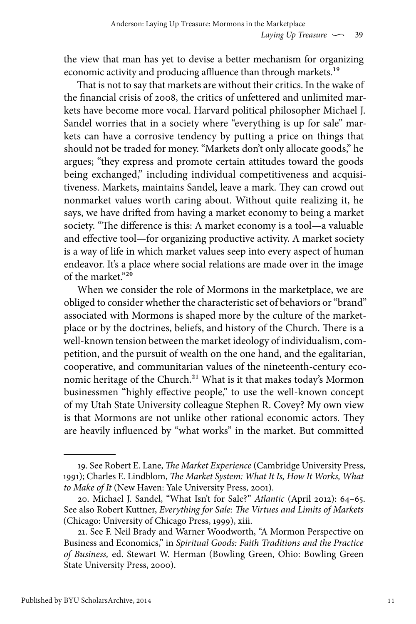the view that man has yet to devise a better mechanism for organizing economic activity and producing affluence than through markets.<sup>19</sup>

That is not to say that markets are without their critics. In the wake of the financial crisis of 2008, the critics of unfettered and unlimited markets have become more vocal. Harvard political philosopher Michael J. Sandel worries that in a society where "everything is up for sale" markets can have a corrosive tendency by putting a price on things that should not be traded for money. "Markets don't only allocate goods," he argues; "they express and promote certain attitudes toward the goods being exchanged," including individual competitiveness and acquisitiveness. Markets, maintains Sandel, leave a mark. They can crowd out nonmarket values worth caring about. Without quite realizing it, he says, we have drifted from having a market economy to being a market society. "The difference is this: A market economy is a tool—a valuable and effective tool—for organizing productive activity. A market society is a way of life in which market values seep into every aspect of human endeavor. It's a place where social relations are made over in the image of the market."<sup>20</sup>

When we consider the role of Mormons in the marketplace, we are obliged to consider whether the characteristic set of behaviors or "brand" associated with Mormons is shaped more by the culture of the marketplace or by the doctrines, beliefs, and history of the Church. There is a well-known tension between the market ideology of individualism, competition, and the pursuit of wealth on the one hand, and the egalitarian, cooperative, and communitarian values of the nineteenth-century economic heritage of the Church.<sup>21</sup> What is it that makes today's Mormon businessmen "highly effective people," to use the well-known concept of my Utah State University colleague Stephen R. Covey? My own view is that Mormons are not unlike other rational economic actors. They are heavily influenced by "what works" in the market. But committed

<sup>19.</sup> See Robert E. Lane, *The Market Experience* (Cambridge University Press, 1991); Charles E. Lindblom, *The Market System: What It Is, How It Works, What to Make of It* (New Haven: Yale University Press, 2001).

<sup>20.</sup> Michael J. Sandel, "What Isn't for Sale?" *Atlantic* (April 2012): 64–65. See also Robert Kuttner, *Everything for Sale: The Virtues and Limits of Markets*  (Chicago: University of Chicago Press, 1999), xiii.

<sup>21.</sup> See F. Neil Brady and Warner Woodworth, "A Mormon Perspective on Business and Economics," in *Spiritual Goods: Faith Traditions and the Practice of Business,* ed. Stewart W. Herman (Bowling Green, Ohio: Bowling Green State University Press, 2000).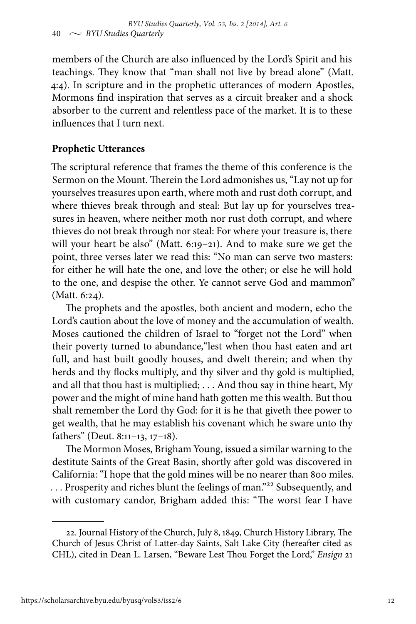members of the Church are also influenced by the Lord's Spirit and his teachings. They know that "man shall not live by bread alone" (Matt. 4:4). In scripture and in the prophetic utterances of modern Apostles, Mormons find inspiration that serves as a circuit breaker and a shock absorber to the current and relentless pace of the market. It is to these influences that I turn next.

#### **Prophetic Utterances**

The scriptural reference that frames the theme of this conference is the Sermon on the Mount. Therein the Lord admonishes us, "Lay not up for yourselves treasures upon earth, where moth and rust doth corrupt, and where thieves break through and steal: But lay up for yourselves treasures in heaven, where neither moth nor rust doth corrupt, and where thieves do not break through nor steal: For where your treasure is, there will your heart be also" (Matt. 6:19–21). And to make sure we get the point, three verses later we read this: "No man can serve two masters: for either he will hate the one, and love the other; or else he will hold to the one, and despise the other. Ye cannot serve God and mammon" (Matt. 6:24).

The prophets and the apostles, both ancient and modern, echo the Lord's caution about the love of money and the accumulation of wealth. Moses cautioned the children of Israel to "forget not the Lord" when their poverty turned to abundance,"lest when thou hast eaten and art full, and hast built goodly houses, and dwelt therein; and when thy herds and thy flocks multiply, and thy silver and thy gold is multiplied, and all that thou hast is multiplied; . . . And thou say in thine heart, My power and the might of mine hand hath gotten me this wealth. But thou shalt remember the Lord thy God: for it is he that giveth thee power to get wealth, that he may establish his covenant which he sware unto thy fathers" (Deut. 8:11–13, 17–18).

The Mormon Moses, Brigham Young, issued a similar warning to the destitute Saints of the Great Basin, shortly after gold was discovered in California: "I hope that the gold mines will be no nearer than 800 miles. ... Prosperity and riches blunt the feelings of man."<sup>22</sup> Subsequently, and with customary candor, Brigham added this: "The worst fear I have

<sup>22.</sup> Journal History of the Church, July 8, 1849, Church History Library, The Church of Jesus Christ of Latter-day Saints, Salt Lake City (hereafter cited as CHL), cited in Dean L. Larsen, "Beware Lest Thou Forget the Lord," *Ensign* 21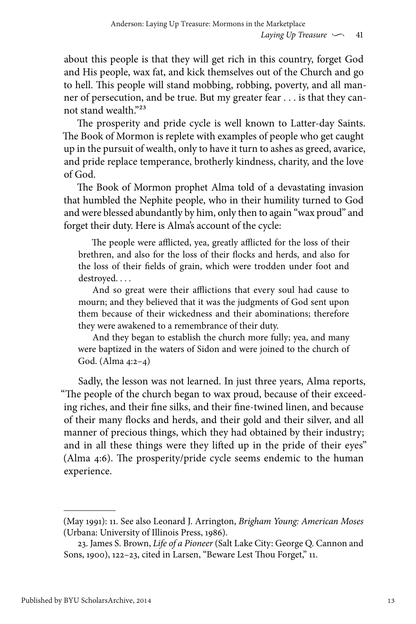about this people is that they will get rich in this country, forget God and His people, wax fat, and kick themselves out of the Church and go to hell. This people will stand mobbing, robbing, poverty, and all manner of persecution, and be true. But my greater fear . . . is that they cannot stand wealth."23

The prosperity and pride cycle is well known to Latter-day Saints. The Book of Mormon is replete with examples of people who get caught up in the pursuit of wealth, only to have it turn to ashes as greed, avarice, and pride replace temperance, brotherly kindness, charity, and the love of God.

The Book of Mormon prophet Alma told of a devastating invasion that humbled the Nephite people, who in their humility turned to God and were blessed abundantly by him, only then to again "wax proud" and forget their duty. Here is Alma's account of the cycle:

The people were afflicted, yea, greatly afflicted for the loss of their brethren, and also for the loss of their flocks and herds, and also for the loss of their fields of grain, which were trodden under foot and destroyed. . . .

And so great were their afflictions that every soul had cause to mourn; and they believed that it was the judgments of God sent upon them because of their wickedness and their abominations; therefore they were awakened to a remembrance of their duty.

And they began to establish the church more fully; yea, and many were baptized in the waters of Sidon and were joined to the church of God. (Alma 4:2–4)

Sadly, the lesson was not learned. In just three years, Alma reports, "The people of the church began to wax proud, because of their exceeding riches, and their fine silks, and their fine-twined linen, and because of their many flocks and herds, and their gold and their silver, and all manner of precious things, which they had obtained by their industry; and in all these things were they lifted up in the pride of their eyes" (Alma 4:6). The prosperity/pride cycle seems endemic to the human experience.

<sup>(</sup>May 1991): 11. See also Leonard J. Arrington, *Brigham Young: American Moses* (Urbana: University of Illinois Press, 1986).

<sup>23.</sup> James S. Brown, *Life of a Pioneer* (Salt Lake City: George Q. Cannon and Sons, 1900), 122–23, cited in Larsen, "Beware Lest Thou Forget," 11.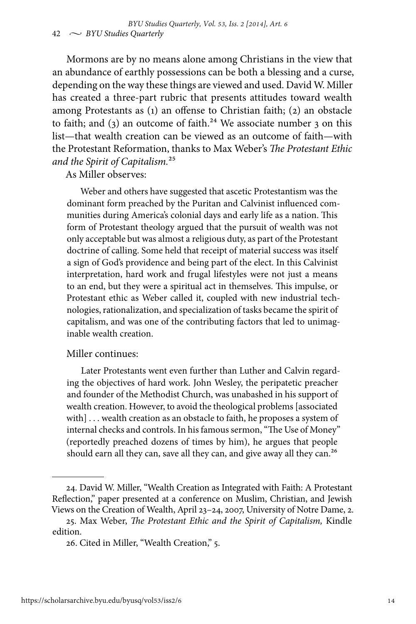Mormons are by no means alone among Christians in the view that an abundance of earthly possessions can be both a blessing and a curse, depending on the way these things are viewed and used. David W. Miller has created a three-part rubric that presents attitudes toward wealth among Protestants as (1) an offense to Christian faith; (2) an obstacle to faith; and  $(3)$  an outcome of faith.<sup>24</sup> We associate number 3 on this list—that wealth creation can be viewed as an outcome of faith—with the Protestant Reformation, thanks to Max Weber's *The Protestant Ethic and the Spirit of Capitalism.*25

As Miller observes:

Weber and others have suggested that ascetic Protestantism was the dominant form preached by the Puritan and Calvinist influenced communities during America's colonial days and early life as a nation. This form of Protestant theology argued that the pursuit of wealth was not only acceptable but was almost a religious duty, as part of the Protestant doctrine of calling. Some held that receipt of material success was itself a sign of God's providence and being part of the elect. In this Calvinist interpretation, hard work and frugal lifestyles were not just a means to an end, but they were a spiritual act in themselves. This impulse, or Protestant ethic as Weber called it, coupled with new industrial technologies, rationalization, and specialization of tasks became the spirit of capitalism, and was one of the contributing factors that led to unimaginable wealth creation.

#### Miller continues:

Later Protestants went even further than Luther and Calvin regarding the objectives of hard work. John Wesley, the peripatetic preacher and founder of the Methodist Church, was unabashed in his support of wealth creation. However, to avoid the theological problems [associated with] . . . wealth creation as an obstacle to faith, he proposes a system of internal checks and controls. In his famous sermon, "The Use of Money" (reportedly preached dozens of times by him), he argues that people should earn all they can, save all they can, and give away all they can.<sup>26</sup>

<sup>24.</sup> David W. Miller, "Wealth Creation as Integrated with Faith: A Protestant Reflection," paper presented at a conference on Muslim, Christian, and Jewish Views on the Creation of Wealth, April 23–24, 2007, University of Notre Dame, 2.

<sup>25.</sup> Max Weber, *The Protestant Ethic and the Spirit of Capitalism,* Kindle edition.

<sup>26.</sup> Cited in Miller, "Wealth Creation," 5.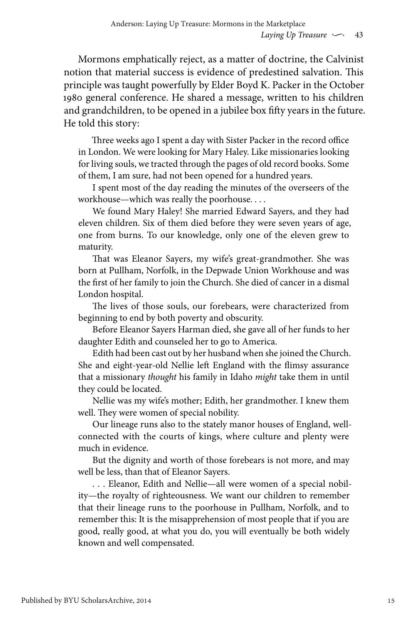Mormons emphatically reject, as a matter of doctrine, the Calvinist notion that material success is evidence of predestined salvation. This principle was taught powerfully by Elder Boyd K. Packer in the October 1980 general conference. He shared a message, written to his children and grandchildren, to be opened in a jubilee box fifty years in the future. He told this story:

Three weeks ago I spent a day with Sister Packer in the record office in London. We were looking for Mary Haley. Like missionaries looking for living souls, we tracted through the pages of old record books. Some of them, I am sure, had not been opened for a hundred years.

I spent most of the day reading the minutes of the overseers of the workhouse—which was really the poorhouse. . . .

We found Mary Haley! She married Edward Sayers, and they had eleven children. Six of them died before they were seven years of age, one from burns. To our knowledge, only one of the eleven grew to maturity.

That was Eleanor Sayers, my wife's great-grandmother. She was born at Pullham, Norfolk, in the Depwade Union Workhouse and was the first of her family to join the Church. She died of cancer in a dismal London hospital.

The lives of those souls, our forebears, were characterized from beginning to end by both poverty and obscurity.

Before Eleanor Sayers Harman died, she gave all of her funds to her daughter Edith and counseled her to go to America.

Edith had been cast out by her husband when she joined the Church. She and eight-year-old Nellie left England with the flimsy assurance that a missionary *thought* his family in Idaho *might* take them in until they could be located.

Nellie was my wife's mother; Edith, her grandmother. I knew them well. They were women of special nobility.

Our lineage runs also to the stately manor houses of England, wellconnected with the courts of kings, where culture and plenty were much in evidence.

But the dignity and worth of those forebears is not more, and may well be less, than that of Eleanor Sayers.

. . . Eleanor, Edith and Nellie—all were women of a special nobility—the royalty of righteousness. We want our children to remember that their lineage runs to the poorhouse in Pullham, Norfolk, and to remember this: It is the misapprehension of most people that if you are good, really good, at what you do, you will eventually be both widely known and well compensated.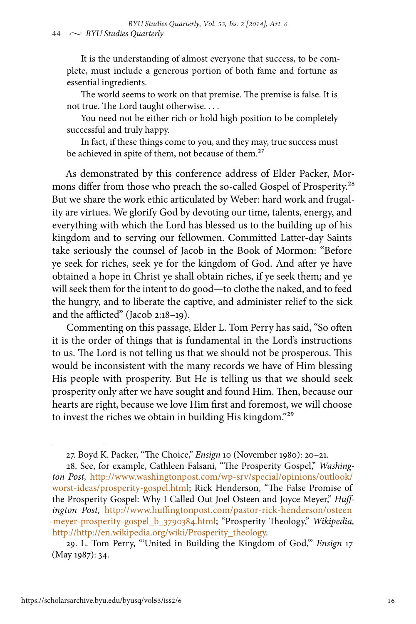It is the understanding of almost everyone that success, to be complete, must include a generous portion of both fame and fortune as essential ingredients.

The world seems to work on that premise. The premise is false. It is not true. The Lord taught otherwise. . . .

You need not be either rich or hold high position to be completely successful and truly happy.

In fact, if these things come to you, and they may, true success must be achieved in spite of them, not because of them.<sup>27</sup>

As demonstrated by this conference address of Elder Packer, Mormons differ from those who preach the so-called Gospel of Prosperity.<sup>28</sup> But we share the work ethic articulated by Weber: hard work and frugality are virtues. We glorify God by devoting our time, talents, energy, and everything with which the Lord has blessed us to the building up of his kingdom and to serving our fellowmen. Committed Latter-day Saints take seriously the counsel of Jacob in the Book of Mormon: "Before ye seek for riches, seek ye for the kingdom of God. And after ye have obtained a hope in Christ ye shall obtain riches, if ye seek them; and ye will seek them for the intent to do good—to clothe the naked, and to feed the hungry, and to liberate the captive, and administer relief to the sick and the afflicted" (Jacob 2:18–19).

Commenting on this passage, Elder L. Tom Perry has said, "So often it is the order of things that is fundamental in the Lord's instructions to us. The Lord is not telling us that we should not be prosperous. This would be inconsistent with the many records we have of Him blessing His people with prosperity. But He is telling us that we should seek prosperity only after we have sought and found Him. Then, because our hearts are right, because we love Him first and foremost, we will choose to invest the riches we obtain in building His kingdom."<sup>29</sup>

<sup>27.</sup> Boyd K. Packer, "The Choice," *Ensign* 10 (November 1980): 20–21.

<sup>28.</sup> See, for example, Cathleen Falsani, "The Prosperity Gospel," *Washington Post,* [http://www.washingtonpost.com/wp-srv/special/opinions/outlook/](http://www.washingtonpost.com/wp-srv/special/opinions/outlook/worst-ideas/prosperity-gospel.html) [worst-ideas/prosperity-gospel.html](http://www.washingtonpost.com/wp-srv/special/opinions/outlook/worst-ideas/prosperity-gospel.html); Rick Henderson, "The False Promise of the Prosperity Gospel: Why I Called Out Joel Osteen and Joyce Meyer," *Huffington Post,* [http://www.huffingtonpost.com/pastor-rick-henderson/osteen](http://www.huffingtonpost.com/pastor-rick-henderson/osteen-meyer-prosperity-gospel_b_3790384.html) [-meyer-prosperity-gospel\\_b\\_3790384.html](http://www.huffingtonpost.com/pastor-rick-henderson/osteen-meyer-prosperity-gospel_b_3790384.html); "Prosperity Theology," *Wikipedia,* [http://http://en.wikipedia.org/wiki/Prosperity\\_theology](http://http://en.wikipedia.org/wiki/Prosperity_theology).

<sup>29.</sup> L. Tom Perry, "'United in Building the Kingdom of God,'" *Ensign* 17 (May 1987): 34.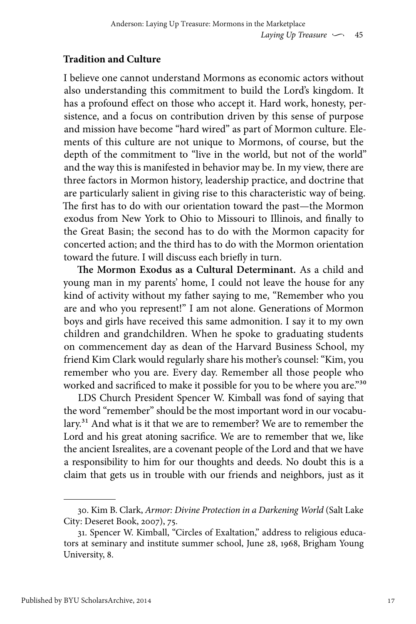## **Tradition and Culture**

I believe one cannot understand Mormons as economic actors without also understanding this commitment to build the Lord's kingdom. It has a profound effect on those who accept it. Hard work, honesty, persistence, and a focus on contribution driven by this sense of purpose and mission have become "hard wired" as part of Mormon culture. Elements of this culture are not unique to Mormons, of course, but the depth of the commitment to "live in the world, but not of the world" and the way this is manifested in behavior may be. In my view, there are three factors in Mormon history, leadership practice, and doctrine that are particularly salient in giving rise to this characteristic way of being. The first has to do with our orientation toward the past—the Mormon exodus from New York to Ohio to Missouri to Illinois, and finally to the Great Basin; the second has to do with the Mormon capacity for concerted action; and the third has to do with the Mormon orientation toward the future. I will discuss each briefly in turn.

**The Mormon Exodus as a Cultural Determinant.** As a child and young man in my parents' home, I could not leave the house for any kind of activity without my father saying to me, "Remember who you are and who you represent!" I am not alone. Generations of Mormon boys and girls have received this same admonition. I say it to my own children and grandchildren. When he spoke to graduating students on commencement day as dean of the Harvard Business School, my friend Kim Clark would regularly share his mother's counsel: "Kim, you remember who you are. Every day. Remember all those people who worked and sacrificed to make it possible for you to be where you are."<sup>30</sup>

LDS Church President Spencer W. Kimball was fond of saying that the word "remember" should be the most important word in our vocabulary.<sup>31</sup> And what is it that we are to remember? We are to remember the Lord and his great atoning sacrifice. We are to remember that we, like the ancient Isrealites, are a covenant people of the Lord and that we have a responsibility to him for our thoughts and deeds. No doubt this is a claim that gets us in trouble with our friends and neighbors, just as it

<sup>30.</sup> Kim B. Clark, *Armor: Divine Protection in a Darkening World* (Salt Lake City: Deseret Book, 2007), 75.

<sup>31.</sup> Spencer W. Kimball, "Circles of Exaltation," address to religious educators at seminary and institute summer school, June 28, 1968, Brigham Young University, 8.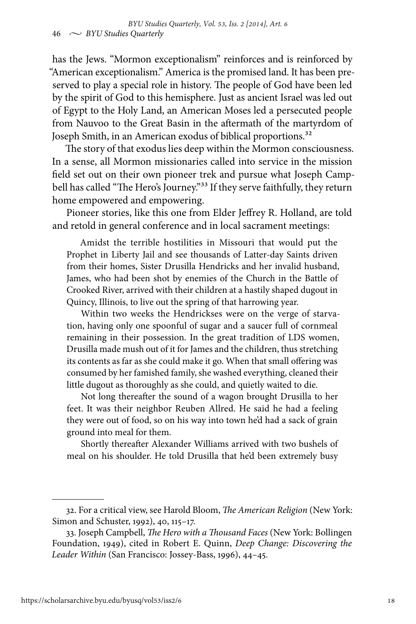has the Jews. "Mormon exceptionalism" reinforces and is reinforced by "American exceptionalism." America is the promised land. It has been preserved to play a special role in history. The people of God have been led by the spirit of God to this hemisphere. Just as ancient Israel was led out of Egypt to the Holy Land, an American Moses led a persecuted people from Nauvoo to the Great Basin in the aftermath of the martyrdom of Joseph Smith, in an American exodus of biblical proportions.<sup>32</sup>

The story of that exodus lies deep within the Mormon consciousness. In a sense, all Mormon missionaries called into service in the mission field set out on their own pioneer trek and pursue what Joseph Campbell has called "The Hero's Journey."<sup>33</sup> If they serve faithfully, they return home empowered and empowering.

Pioneer stories, like this one from Elder Jeffrey R. Holland, are told and retold in general conference and in local sacrament meetings:

Amidst the terrible hostilities in Missouri that would put the Prophet in Liberty Jail and see thousands of Latter-day Saints driven from their homes, Sister Drusilla Hendricks and her invalid husband, James, who had been shot by enemies of the Church in the Battle of Crooked River, arrived with their children at a hastily shaped dugout in Quincy, Illinois, to live out the spring of that harrowing year.

Within two weeks the Hendrickses were on the verge of starvation, having only one spoonful of sugar and a saucer full of cornmeal remaining in their possession. In the great tradition of LDS women, Drusilla made mush out of it for James and the children, thus stretching its contents as far as she could make it go. When that small offering was consumed by her famished family, she washed everything, cleaned their little dugout as thoroughly as she could, and quietly waited to die.

Not long thereafter the sound of a wagon brought Drusilla to her feet. It was their neighbor Reuben Allred. He said he had a feeling they were out of food, so on his way into town he'd had a sack of grain ground into meal for them.

Shortly thereafter Alexander Williams arrived with two bushels of meal on his shoulder. He told Drusilla that he'd been extremely busy

<sup>32.</sup> For a critical view, see Harold Bloom, *The American Religion* (New York: Simon and Schuster, 1992), 40, 115–17.

<sup>33.</sup> Joseph Campbell, *The Hero with a Thousand Faces* (New York: Bollingen Foundation, 1949), cited in Robert E. Quinn, *Deep Change: Discovering the Leader Within* (San Francisco: Jossey-Bass, 1996), 44–45.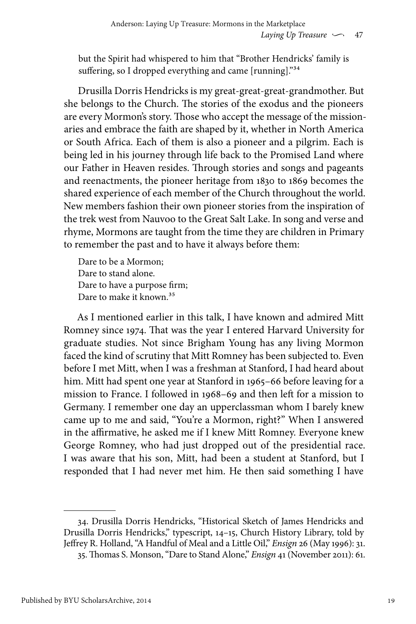but the Spirit had whispered to him that "Brother Hendricks' family is suffering, so I dropped everything and came [running]."<sup>34</sup>

Drusilla Dorris Hendricks is my great-great-great-grandmother. But she belongs to the Church. The stories of the exodus and the pioneers are every Mormon's story. Those who accept the message of the missionaries and embrace the faith are shaped by it, whether in North America or South Africa. Each of them is also a pioneer and a pilgrim. Each is being led in his journey through life back to the Promised Land where our Father in Heaven resides. Through stories and songs and pageants and reenactments, the pioneer heritage from 1830 to 1869 becomes the shared experience of each member of the Church throughout the world. New members fashion their own pioneer stories from the inspiration of the trek west from Nauvoo to the Great Salt Lake. In song and verse and rhyme, Mormons are taught from the time they are children in Primary to remember the past and to have it always before them:

Dare to be a Mormon; Dare to stand alone. Dare to have a purpose firm; Dare to make it known.<sup>35</sup>

As I mentioned earlier in this talk, I have known and admired Mitt Romney since 1974. That was the year I entered Harvard University for graduate studies. Not since Brigham Young has any living Mormon faced the kind of scrutiny that Mitt Romney has been subjected to. Even before I met Mitt, when I was a freshman at Stanford, I had heard about him. Mitt had spent one year at Stanford in 1965–66 before leaving for a mission to France. I followed in 1968–69 and then left for a mission to Germany. I remember one day an upperclassman whom I barely knew came up to me and said, "You're a Mormon, right?" When I answered in the affirmative, he asked me if I knew Mitt Romney. Everyone knew George Romney, who had just dropped out of the presidential race. I was aware that his son, Mitt, had been a student at Stanford, but I responded that I had never met him. He then said something I have

<sup>34.</sup> Drusilla Dorris Hendricks, "Historical Sketch of James Hendricks and Drusilla Dorris Hendricks," typescript, 14–15, Church History Library, told by Jeffrey R. Holland, "A Handful of Meal and a Little Oil," *Ensign* 26 (May 1996): 31. 35. Thomas S. Monson, "Dare to Stand Alone," *Ensign* 41 (November 2011): 61.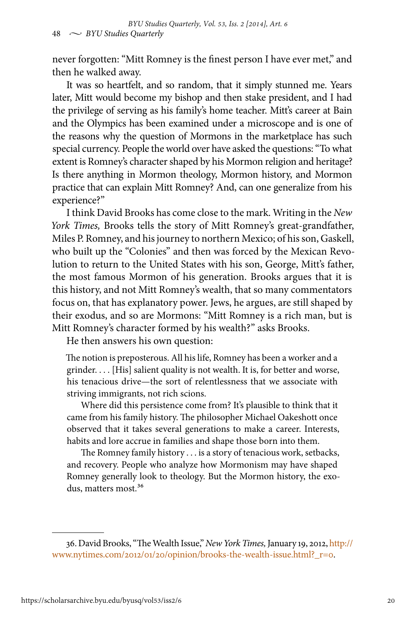never forgotten: "Mitt Romney is the finest person I have ever met," and then he walked away.

It was so heartfelt, and so random, that it simply stunned me. Years later, Mitt would become my bishop and then stake president, and I had the privilege of serving as his family's home teacher. Mitt's career at Bain and the Olympics has been examined under a microscope and is one of the reasons why the question of Mormons in the marketplace has such special currency. People the world over have asked the questions: "To what extent is Romney's character shaped by his Mormon religion and heritage? Is there anything in Mormon theology, Mormon history, and Mormon practice that can explain Mitt Romney? And, can one generalize from his experience?"

I think David Brooks has come close to the mark. Writing in the *New York Times,* Brooks tells the story of Mitt Romney's great-grandfather, Miles P. Romney, and his journey to northern Mexico; of his son, Gaskell, who built up the "Colonies" and then was forced by the Mexican Revolution to return to the United States with his son, George, Mitt's father, the most famous Mormon of his generation. Brooks argues that it is this history, and not Mitt Romney's wealth, that so many commentators focus on, that has explanatory power. Jews, he argues, are still shaped by their exodus, and so are Mormons: "Mitt Romney is a rich man, but is Mitt Romney's character formed by his wealth?" asks Brooks.

He then answers his own question:

The notion is preposterous. All his life, Romney has been a worker and a grinder. . . . [His] salient quality is not wealth. It is, for better and worse, his tenacious drive—the sort of relentlessness that we associate with striving immigrants, not rich scions.

Where did this persistence come from? It's plausible to think that it came from his family history. The philosopher Michael Oakeshott once observed that it takes several generations to make a career. Interests, habits and lore accrue in families and shape those born into them.

The Romney family history . . . is a story of tenacious work, setbacks, and recovery. People who analyze how Mormonism may have shaped Romney generally look to theology. But the Mormon history, the exodus, matters most.<sup>36</sup>

<sup>36.</sup> David Brooks, "The Wealth Issue," *New York Times,* January 19, 2012, [http://](http://www.nytimes.com/2012/01/20/opinion/brooks-the-wealth-issue.html?_r=0) [www.nytimes.com/2012/01/20/opinion/brooks-the-wealth-issue.html?\\_r=0](http://www.nytimes.com/2012/01/20/opinion/brooks-the-wealth-issue.html?_r=0).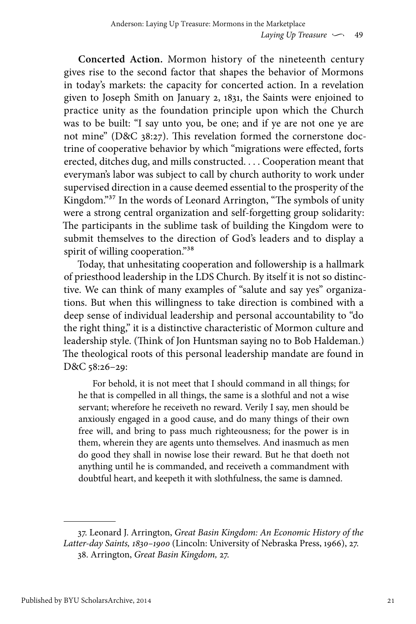**Concerted Action.** Mormon history of the nineteenth century gives rise to the second factor that shapes the behavior of Mormons in today's markets: the capacity for concerted action. In a revelation given to Joseph Smith on January 2, 1831, the Saints were enjoined to practice unity as the foundation principle upon which the Church was to be built: "I say unto you, be one; and if ye are not one ye are not mine" (D&C 38:27). This revelation formed the cornerstone doctrine of cooperative behavior by which "migrations were effected, forts erected, ditches dug, and mills constructed. . . . Cooperation meant that everyman's labor was subject to call by church authority to work under supervised direction in a cause deemed essential to the prosperity of the Kingdom."37 In the words of Leonard Arrington, "The symbols of unity were a strong central organization and self-forgetting group solidarity: The participants in the sublime task of building the Kingdom were to submit themselves to the direction of God's leaders and to display a spirit of willing cooperation."<sup>38</sup>

Today, that unhesitating cooperation and followership is a hallmark of priesthood leadership in the LDS Church. By itself it is not so distinctive. We can think of many examples of "salute and say yes" organizations. But when this willingness to take direction is combined with a deep sense of individual leadership and personal accountability to "do the right thing," it is a distinctive characteristic of Mormon culture and leadership style. (Think of Jon Huntsman saying no to Bob Haldeman.) The theological roots of this personal leadership mandate are found in D&C 58:26–29:

For behold, it is not meet that I should command in all things; for he that is compelled in all things, the same is a slothful and not a wise servant; wherefore he receiveth no reward. Verily I say, men should be anxiously engaged in a good cause, and do many things of their own free will, and bring to pass much righteousness; for the power is in them, wherein they are agents unto themselves. And inasmuch as men do good they shall in nowise lose their reward. But he that doeth not anything until he is commanded, and receiveth a commandment with doubtful heart, and keepeth it with slothfulness, the same is damned.

<sup>37.</sup> Leonard J. Arrington, *Great Basin Kingdom: An Economic History of the Latter-day Saints, 1830–1900* (Lincoln: University of Nebraska Press, 1966), 27. 38. Arrington, *Great Basin Kingdom,* 27.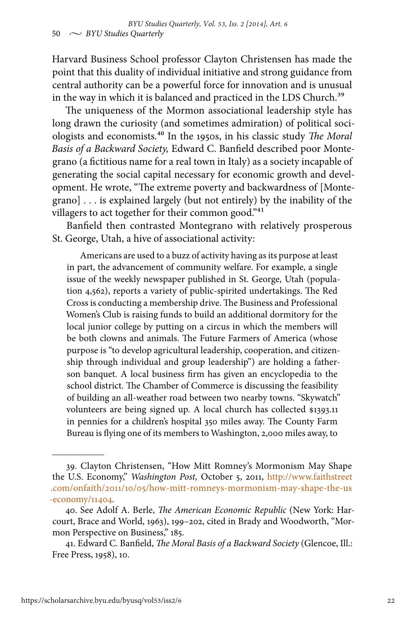Harvard Business School professor Clayton Christensen has made the point that this duality of individual initiative and strong guidance from central authority can be a powerful force for innovation and is unusual in the way in which it is balanced and practiced in the LDS Church.<sup>39</sup>

The uniqueness of the Mormon associational leadership style has long drawn the curiosity (and sometimes admiration) of political sociologists and economists.40 In the 1950s, in his classic study *The Moral Basis of a Backward Society,* Edward C. Banfield described poor Montegrano (a fictitious name for a real town in Italy) as a society incapable of generating the social capital necessary for economic growth and development. He wrote, "The extreme poverty and backwardness of [Montegrano] . . . is explained largely (but not entirely) by the inability of the villagers to act together for their common good."<sup>41</sup>

Banfield then contrasted Montegrano with relatively prosperous St. George, Utah, a hive of associational activity:

Americans are used to a buzz of activity having as its purpose at least in part, the advancement of community welfare. For example, a single issue of the weekly newspaper published in St. George, Utah (population 4,562), reports a variety of public-spirited undertakings. The Red Cross is conducting a membership drive. The Business and Professional Women's Club is raising funds to build an additional dormitory for the local junior college by putting on a circus in which the members will be both clowns and animals. The Future Farmers of America (whose purpose is "to develop agricultural leadership, cooperation, and citizenship through individual and group leadership") are holding a fatherson banquet. A local business firm has given an encyclopedia to the school district. The Chamber of Commerce is discussing the feasibility of building an all-weather road between two nearby towns. "Skywatch" volunteers are being signed up. A local church has collected \$1393.11 in pennies for a children's hospital 350 miles away. The County Farm Bureau is flying one of its members to Washington, 2,000 miles away, to

<sup>39.</sup> Clayton Christensen, "How Mitt Romney's Mormonism May Shape the U.S. Economy," *Washington Post,* October 5, 2011, [http://www.faithstreet](http://www.faithstreet.com/onfaith/2011/10/05/how-mitt-romneys-mormonism-may-shape-the-us-economy/11404) [.com/onfaith/2011/10/05/how-mitt-romneys-mormonism-may-shape-the-us](http://www.faithstreet.com/onfaith/2011/10/05/how-mitt-romneys-mormonism-may-shape-the-us-economy/11404) [-economy/11404](http://www.faithstreet.com/onfaith/2011/10/05/how-mitt-romneys-mormonism-may-shape-the-us-economy/11404).

<sup>40.</sup> See Adolf A. Berle, *The American Economic Republic* (New York: Harcourt, Brace and World, 1963), 199–202, cited in Brady and Woodworth, "Mormon Perspective on Business," 185.

<sup>41.</sup> Edward C. Banfield, *The Moral Basis of a Backward Society* (Glencoe, Ill.: Free Press, 1958), 10.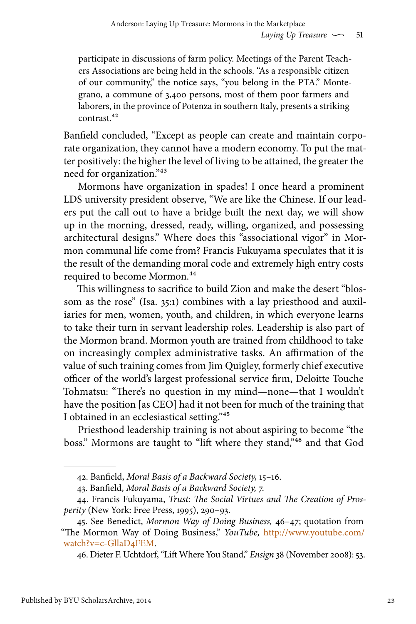participate in discussions of farm policy. Meetings of the Parent Teachers Associations are being held in the schools. "As a responsible citizen of our community," the notice says, "you belong in the PTA." Montegrano, a commune of 3,400 persons, most of them poor farmers and laborers, in the province of Potenza in southern Italy, presents a striking contrast.42

Banfield concluded, "Except as people can create and maintain corporate organization, they cannot have a modern economy. To put the matter positively: the higher the level of living to be attained, the greater the need for organization."43

Mormons have organization in spades! I once heard a prominent LDS university president observe, "We are like the Chinese. If our leaders put the call out to have a bridge built the next day, we will show up in the morning, dressed, ready, willing, organized, and possessing architectural designs." Where does this "associational vigor" in Mormon communal life come from? Francis Fukuyama speculates that it is the result of the demanding moral code and extremely high entry costs required to become Mormon.<sup>44</sup>

This willingness to sacrifice to build Zion and make the desert "blossom as the rose" (Isa. 35:1) combines with a lay priesthood and auxiliaries for men, women, youth, and children, in which everyone learns to take their turn in servant leadership roles. Leadership is also part of the Mormon brand. Mormon youth are trained from childhood to take on increasingly complex administrative tasks. An affirmation of the value of such training comes from Jim Quigley, formerly chief executive officer of the world's largest professional service firm, Deloitte Touche Tohmatsu: "There's no question in my mind—none—that I wouldn't have the position [as CEO] had it not been for much of the training that I obtained in an ecclesiastical setting."45

Priesthood leadership training is not about aspiring to become "the boss." Mormons are taught to "lift where they stand,"46 and that God

<sup>42.</sup> Banfield, *Moral Basis of a Backward Society,* 15–16.

<sup>43.</sup> Banfield, *Moral Basis of a Backward Society,* 7.

<sup>44.</sup> Francis Fukuyama, *Trust: The Social Virtues and The Creation of Prosperity* (New York: Free Press, 1995), 290–93.

<sup>45.</sup> See Benedict, *Mormon Way of Doing Business,* 46–47; quotation from "The Mormon Way of Doing Business," *YouTube,* [http://www.youtube.com/](http://www.youtube.com/watch?v=c-GllaD4FEM) [watch?v=c-GllaD4FEM](http://www.youtube.com/watch?v=c-GllaD4FEM).

<sup>46.</sup> Dieter F. Uchtdorf, "Lift Where You Stand," *Ensign* 38 (November 2008): 53.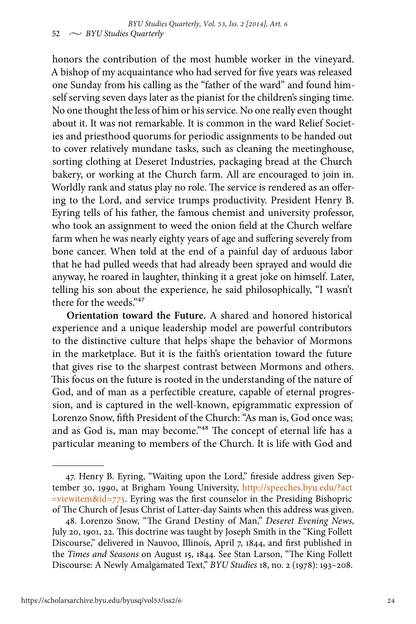honors the contribution of the most humble worker in the vineyard. A bishop of my acquaintance who had served for five years was released one Sunday from his calling as the "father of the ward" and found himself serving seven days later as the pianist for the children's singing time. No one thought the less of him or his service. No one really even thought about it. It was not remarkable. It is common in the ward Relief Societies and priesthood quorums for periodic assignments to be handed out to cover relatively mundane tasks, such as cleaning the meetinghouse, sorting clothing at Deseret Industries, packaging bread at the Church bakery, or working at the Church farm. All are encouraged to join in. Worldly rank and status play no role. The service is rendered as an offering to the Lord, and service trumps productivity. President Henry B. Eyring tells of his father, the famous chemist and university professor, who took an assignment to weed the onion field at the Church welfare farm when he was nearly eighty years of age and suffering severely from bone cancer. When told at the end of a painful day of arduous labor that he had pulled weeds that had already been sprayed and would die anyway, he roared in laughter, thinking it a great joke on himself. Later, telling his son about the experience, he said philosophically, "I wasn't there for the weeds."47

**Orientation toward the Future.** A shared and honored historical experience and a unique leadership model are powerful contributors to the distinctive culture that helps shape the behavior of Mormons in the marketplace. But it is the faith's orientation toward the future that gives rise to the sharpest contrast between Mormons and others. This focus on the future is rooted in the understanding of the nature of God, and of man as a perfectible creature, capable of eternal progression, and is captured in the well-known, epigrammatic expression of Lorenzo Snow, fifth President of the Church: "As man is, God once was; and as God is, man may become."<sup>48</sup> The concept of eternal life has a particular meaning to members of the Church. It is life with God and

<sup>47.</sup> Henry B. Eyring, "Waiting upon the Lord," fireside address given September 30, 1990, at Brigham Young University, [http://speeches.byu.edu/?act](http://speeches.byu.edu/?act=viewitem&id=775)  $=$ viewitem $\&$ id $=$ 775. Eyring was the first counselor in the Presiding Bishopric of The Church of Jesus Christ of Latter-day Saints when this address was given.

<sup>48.</sup> Lorenzo Snow, "The Grand Destiny of Man," *Deseret Evening News,* July 20, 1901, 22. This doctrine was taught by Joseph Smith in the "King Follett Discourse," delivered in Nauvoo, Illinois, April 7, 1844, and first published in the *Times and Seasons* on August 15, 1844. See Stan Larson, "The King Follett Discourse: A Newly Amalgamated Text," *BYU Studies* 18, no. 2 (1978): 193–208.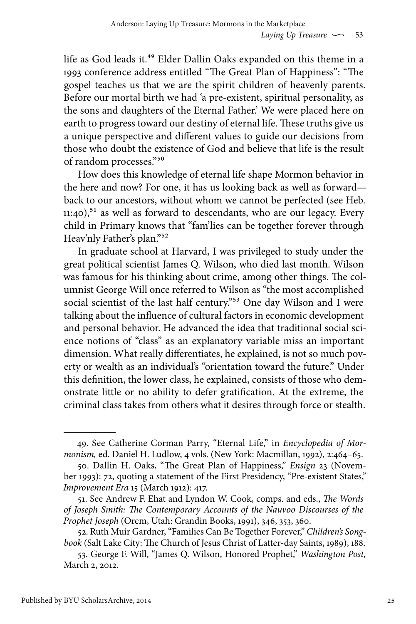life as God leads it.<sup>49</sup> Elder Dallin Oaks expanded on this theme in a 1993 conference address entitled "The Great Plan of Happiness": "The gospel teaches us that we are the spirit children of heavenly parents. Before our mortal birth we had 'a pre-existent, spiritual personality, as the sons and daughters of the Eternal Father.' We were placed here on earth to progress toward our destiny of eternal life. These truths give us a unique perspective and different values to guide our decisions from those who doubt the existence of God and believe that life is the result of random processes."50

How does this knowledge of eternal life shape Mormon behavior in the here and now? For one, it has us looking back as well as forward back to our ancestors, without whom we cannot be perfected (see Heb.  $11:40$ ,  $51$  as well as forward to descendants, who are our legacy. Every child in Primary knows that "fam'lies can be together forever through Heav'nly Father's plan."52

In graduate school at Harvard, I was privileged to study under the great political scientist James Q. Wilson, who died last month. Wilson was famous for his thinking about crime, among other things. The columnist George Will once referred to Wilson as "the most accomplished social scientist of the last half century."53 One day Wilson and I were talking about the influence of cultural factors in economic development and personal behavior. He advanced the idea that traditional social science notions of "class" as an explanatory variable miss an important dimension. What really differentiates, he explained, is not so much poverty or wealth as an individual's "orientation toward the future." Under this definition, the lower class, he explained, consists of those who demonstrate little or no ability to defer gratification. At the extreme, the criminal class takes from others what it desires through force or stealth.

<sup>49.</sup> See Catherine Corman Parry, "Eternal Life," in *Encyclopedia of Mormonism,* ed. Daniel H. Ludlow, 4 vols. (New York: Macmillan, 1992), 2:464–65.

<sup>50.</sup> Dallin H. Oaks, "The Great Plan of Happiness," *Ensign* 23 (November 1993): 72, quoting a statement of the First Presidency, "Pre-existent States," *Improvement Era* 15 (March 1912): 417.

<sup>51.</sup> See Andrew F. Ehat and Lyndon W. Cook, comps. and eds., *The Words of Joseph Smith: The Contemporary Accounts of the Nauvoo Discourses of the Prophet Joseph* (Orem, Utah: Grandin Books, 1991), 346, 353, 360.

<sup>52.</sup> Ruth Muir Gardner, "Families Can Be Together Forever," *Children's Songbook* (Salt Lake City: The Church of Jesus Christ of Latter-day Saints, 1989), 188.

<sup>53.</sup> George F. Will, "James Q. Wilson, Honored Prophet," *Washington Post,* March 2, 2012.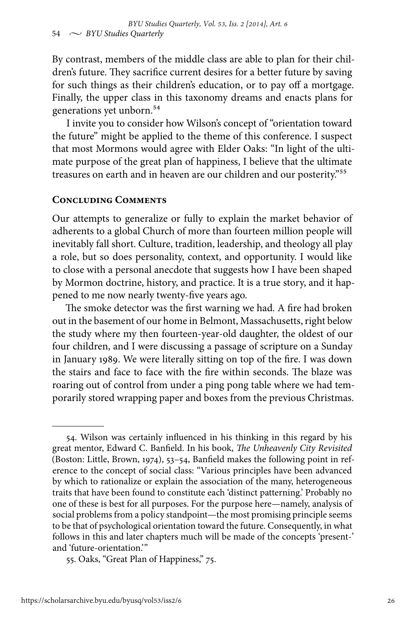By contrast, members of the middle class are able to plan for their children's future. They sacrifice current desires for a better future by saving for such things as their children's education, or to pay off a mortgage. Finally, the upper class in this taxonomy dreams and enacts plans for generations yet unborn.54

I invite you to consider how Wilson's concept of "orientation toward the future" might be applied to the theme of this conference. I suspect that most Mormons would agree with Elder Oaks: "In light of the ultimate purpose of the great plan of happiness, I believe that the ultimate treasures on earth and in heaven are our children and our posterity."55

#### **Concluding Comments**

Our attempts to generalize or fully to explain the market behavior of adherents to a global Church of more than fourteen million people will inevitably fall short. Culture, tradition, leadership, and theology all play a role, but so does personality, context, and opportunity. I would like to close with a personal anecdote that suggests how I have been shaped by Mormon doctrine, history, and practice. It is a true story, and it happened to me now nearly twenty-five years ago.

The smoke detector was the first warning we had. A fire had broken out in the basement of our home in Belmont, Massachusetts, right below the study where my then fourteen-year-old daughter, the oldest of our four children, and I were discussing a passage of scripture on a Sunday in January 1989. We were literally sitting on top of the fire. I was down the stairs and face to face with the fire within seconds. The blaze was roaring out of control from under a ping pong table where we had temporarily stored wrapping paper and boxes from the previous Christmas.

<sup>54.</sup> Wilson was certainly influenced in his thinking in this regard by his great mentor, Edward C. Banfield. In his book, *The Unheavenly City Revisited* (Boston: Little, Brown, 1974), 53–54, Banfield makes the following point in reference to the concept of social class: "Various principles have been advanced by which to rationalize or explain the association of the many, heterogeneous traits that have been found to constitute each 'distinct patterning.' Probably no one of these is best for all purposes. For the purpose here—namely, analysis of social problems from a policy standpoint—the most promising principle seems to be that of psychological orientation toward the future. Consequently, in what follows in this and later chapters much will be made of the concepts 'present-' and 'future-orientation.'"

<sup>55.</sup> Oaks, "Great Plan of Happiness," 75.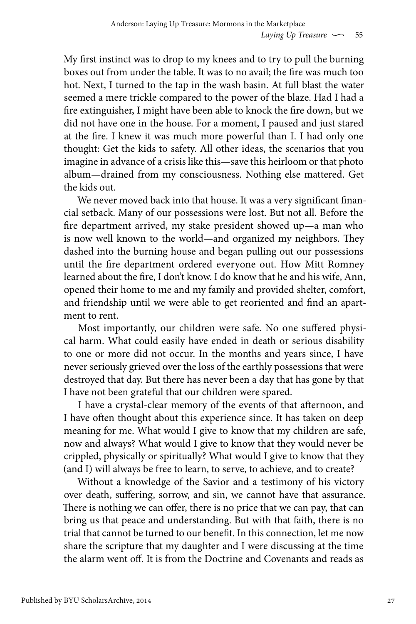My first instinct was to drop to my knees and to try to pull the burning boxes out from under the table. It was to no avail; the fire was much too hot. Next, I turned to the tap in the wash basin. At full blast the water seemed a mere trickle compared to the power of the blaze. Had I had a fire extinguisher, I might have been able to knock the fire down, but we did not have one in the house. For a moment, I paused and just stared at the fire. I knew it was much more powerful than I. I had only one thought: Get the kids to safety. All other ideas, the scenarios that you imagine in advance of a crisis like this—save this heirloom or that photo album—drained from my consciousness. Nothing else mattered. Get the kids out.

We never moved back into that house. It was a very significant financial setback. Many of our possessions were lost. But not all. Before the fire department arrived, my stake president showed up—a man who is now well known to the world—and organized my neighbors. They dashed into the burning house and began pulling out our possessions until the fire department ordered everyone out. How Mitt Romney learned about the fire, I don't know. I do know that he and his wife, Ann, opened their home to me and my family and provided shelter, comfort, and friendship until we were able to get reoriented and find an apartment to rent.

Most importantly, our children were safe. No one suffered physical harm. What could easily have ended in death or serious disability to one or more did not occur. In the months and years since, I have never seriously grieved over the loss of the earthly possessions that were destroyed that day. But there has never been a day that has gone by that I have not been grateful that our children were spared.

I have a crystal-clear memory of the events of that afternoon, and I have often thought about this experience since. It has taken on deep meaning for me. What would I give to know that my children are safe, now and always? What would I give to know that they would never be crippled, physically or spiritually? What would I give to know that they (and I) will always be free to learn, to serve, to achieve, and to create?

Without a knowledge of the Savior and a testimony of his victory over death, suffering, sorrow, and sin, we cannot have that assurance. There is nothing we can offer, there is no price that we can pay, that can bring us that peace and understanding. But with that faith, there is no trial that cannot be turned to our benefit. In this connection, let me now share the scripture that my daughter and I were discussing at the time the alarm went off. It is from the Doctrine and Covenants and reads as